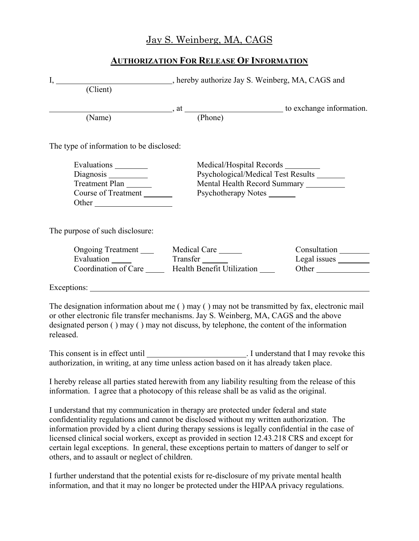## Jay S. Weinberg, MA, CAGS

## **AUTHORIZATION FOR RELEASE OF INFORMATION**

| $\overline{(Client)}$                                                                                                                                                                                                                                                                            | I, ____________________________, hereby authorize Jay S. Weinberg, MA, CAGS and                                                                |                       |
|--------------------------------------------------------------------------------------------------------------------------------------------------------------------------------------------------------------------------------------------------------------------------------------------------|------------------------------------------------------------------------------------------------------------------------------------------------|-----------------------|
| (Name)                                                                                                                                                                                                                                                                                           | $\therefore$ , at $\qquad \qquad$ (Phone) to exchange information.                                                                             |                       |
| The type of information to be disclosed:                                                                                                                                                                                                                                                         |                                                                                                                                                |                       |
| Evaluations ________<br>Diagnosis<br>Treatment Plan<br>Course of Treatment<br>Other                                                                                                                                                                                                              | Medical/Hospital Records ________<br>Psychological/Medical Test Results ______<br>Mental Health Record Summary ________<br>Psychotherapy Notes |                       |
| The purpose of such disclosure:                                                                                                                                                                                                                                                                  |                                                                                                                                                |                       |
| Evaluation Transfer                                                                                                                                                                                                                                                                              | Ongoing Treatment ________ Medical Care ______<br>Coordination of Care Health Benefit Utilization                                              | Consultation<br>Other |
| Exceptions:                                                                                                                                                                                                                                                                                      |                                                                                                                                                |                       |
| The designation information about me () may () may not be transmitted by fax, electronic mail<br>or other electronic file transfer mechanisms. Jay S. Weinberg, MA, CAGS and the above<br>designated person () may () may not discuss, by telephone, the content of the information<br>released. |                                                                                                                                                |                       |
|                                                                                                                                                                                                                                                                                                  |                                                                                                                                                |                       |
| I hereby release all parties stated herewith from any liability resulting from the release of this<br>information. I agree that a photocopy of this release shall be as valid as the original.                                                                                                   |                                                                                                                                                |                       |
| I understand that my communication in therapy are protected under federal and state                                                                                                                                                                                                              |                                                                                                                                                |                       |

I understand that my communication in therapy are protected under federal and state confidentiality regulations and cannot be disclosed without my written authorization. The information provided by a client during therapy sessions is legally confidential in the case of licensed clinical social workers, except as provided in section 12.43.218 CRS and except for certain legal exceptions. In general, these exceptions pertain to matters of danger to self or others, and to assault or neglect of children.

I further understand that the potential exists for re-disclosure of my private mental health information, and that it may no longer be protected under the HIPAA privacy regulations.